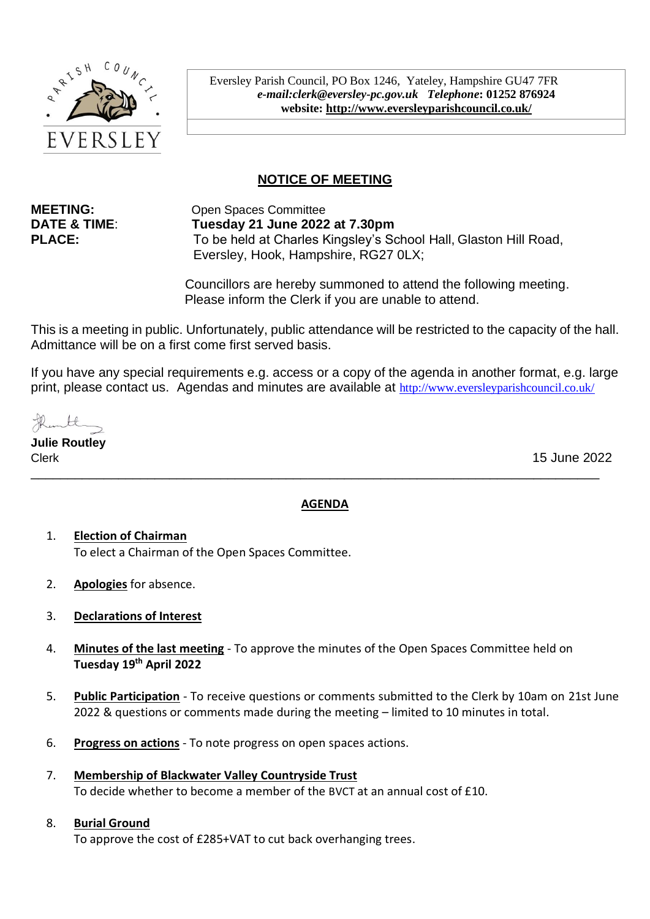

Eversley Parish Council, PO Box 1246, Yateley, Hampshire GU47 7FR *e-mail:clerk@eversley-pc.gov.uk**Telephone***: 01252 876924 website:<http://www.eversleyparishcouncil.co.uk/>**

# **NOTICE OF MEETING**

**MEETING:** Open Spaces Committee **DATE & TIME**: **Tuesday 21 June 2022 at 7.30pm PLACE:** To be held at Charles Kingsley's School Hall, Glaston Hill Road, Eversley, Hook, Hampshire, RG27 0LX;

> Councillors are hereby summoned to attend the following meeting. Please inform the Clerk if you are unable to attend.

This is a meeting in public. Unfortunately, public attendance will be restricted to the capacity of the hall. Admittance will be on a first come first served basis.

If you have any special requirements e.g. access or a copy of the agenda in another format, e.g. large print, please contact us. Agendas and minutes are available at http://www.eversleyparishcouncil.co.uk/

**Julie Routley** \_\_\_\_\_\_\_\_\_\_\_\_\_\_\_\_\_\_\_\_\_\_\_\_\_\_\_\_\_\_\_\_\_\_\_\_\_\_\_\_\_\_\_\_\_\_\_\_\_\_\_\_\_\_\_\_\_\_\_\_\_\_\_\_\_\_\_\_\_\_\_\_\_\_\_\_\_\_

Clerk 15 June 2022

#### **AGENDA**

- 1. **Election of Chairman**  To elect a Chairman of the Open Spaces Committee.
- 2. **Apologies** for absence.
- 3. **Declarations of Interest**
- 4. **Minutes of the last meeting** To approve the minutes of the Open Spaces Committee held on **Tuesday 19th April 2022**
- 5. **Public Participation** To receive questions or comments submitted to the Clerk by 10am on 21st June 2022 & questions or comments made during the meeting – limited to 10 minutes in total.
- 6. **Progress on actions** To note progress on open spaces actions.
- 7. **Membership of Blackwater Valley Countryside Trust** To decide whether to become a member of the BVCT at an annual cost of £10.

#### 8. **Burial Ground**

To approve the cost of £285+VAT to cut back overhanging trees.